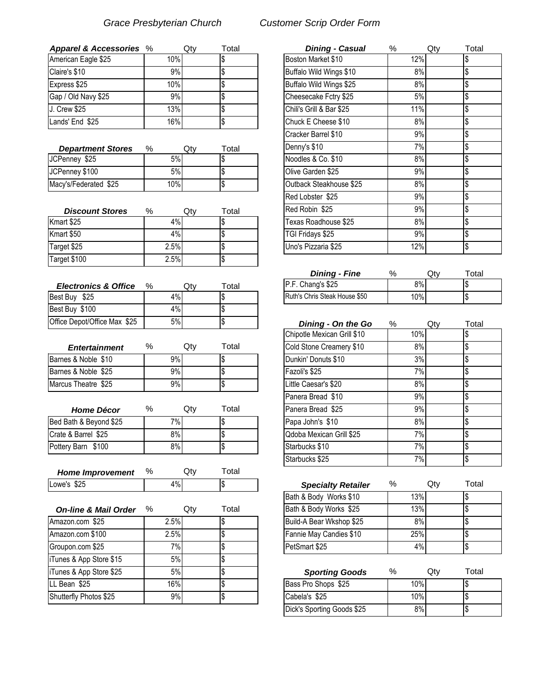| Apparel & Accessories % |      | Qtv | Total | <b>Dining - Casual</b>   | %   | Qtv | Total |
|-------------------------|------|-----|-------|--------------------------|-----|-----|-------|
| American Eagle \$25     | 10%l |     |       | Boston Market \$10       | 12% |     |       |
| Claire's \$10           | 9%   |     |       | Buffalo Wild Wings \$10  | 8%  |     |       |
| Express \$25            | 10%  |     |       | Buffalo Wild Wings \$25  | 8%  |     |       |
| Gap / Old Navy \$25     | 9%   |     |       | Cheesecake Fctry \$25    | 5%  |     |       |
| J. Crew \$25            | 13%  |     |       | Chili's Grill & Bar \$25 | 11% |     |       |
| Lands' End \$25         | 16%  |     |       | Chuck E Cheese \$10      | 8%  |     |       |

| <b>Department Stores</b> | $\%$ | Qtv | $\tau$ otal | Denny's \$10            | 7% | I\$ |
|--------------------------|------|-----|-------------|-------------------------|----|-----|
| JCPenney \$25            | 5%   |     |             | Noodles & Co. \$10      | 8% |     |
| JCPenney \$100           | 5%   |     |             | Olive Garden \$25       | 9% |     |
| Macy's/Federated \$25    | 10%  |     |             | Outback Steakhouse \$25 | 8% |     |

| <b>Discount Stores</b> | %    | Qtv | $\tau$ otal | IRed Robin \$25      | $9\%$ |  |
|------------------------|------|-----|-------------|----------------------|-------|--|
| Kmart \$25             | 4%   |     |             | Texas Roadhouse \$25 | 8%    |  |
| Kmart \$50             | 4%   |     |             | TGI Fridays \$25     | 9%    |  |
| Target \$25            | 2.5% |     |             | Uno's Pizzaria \$25  | 12%   |  |
| Target \$100           | 2.5% |     |             |                      |       |  |

| <b>Electronics &amp; Office</b> | $\%$ | Qtv | $\tau$ otal | P.F. Chang's \$25             | 8%  |     |       |
|---------------------------------|------|-----|-------------|-------------------------------|-----|-----|-------|
| Best Buy \$25                   | 4%   |     |             | Ruth's Chris Steak House \$50 | 10% |     |       |
| Best Buy \$100                  | 4%   |     |             |                               |     |     |       |
| Office Depot/Office Max \$25    | 5%   |     |             | Dining - On the Go            | %   | Qtv | Total |

| <b>Entertainment</b> | %  | Qtv | ™otal | Cold Stone Creamery \$10    | 8%    |  |
|----------------------|----|-----|-------|-----------------------------|-------|--|
| Barnes & Noble \$10  | 9% |     |       | <b>IDunkin' Donuts \$10</b> | 3%    |  |
| Barnes & Noble \$25  | 9% |     |       | Fazoli's \$25               | $7\%$ |  |
| Marcus Theatre \$25  | 9% |     |       | Little Caesar's \$20        | 8%    |  |

| <b>Home Décor</b>      | %  | Qtv | Total | Panera Bread \$25        | 9%    |  |
|------------------------|----|-----|-------|--------------------------|-------|--|
| Bed Bath & Beyond \$25 | 7% |     |       | Papa John's \$10         | 8%    |  |
| Crate & Barrel \$25    | 8% |     |       | Qdoba Mexican Grill \$25 | $7\%$ |  |
| Pottery Barn \$100     | 8% |     |       | Starbucks \$10           | $7\%$ |  |
|                        |    |     |       | Starhucke \$25           | 70/2  |  |

| <b>Home Improvement</b> | $\%$  | .Jtv | otal |                           |   |     |      |
|-------------------------|-------|------|------|---------------------------|---|-----|------|
| Lowe's \$25             | $1\%$ |      |      | <b>Specialty Retailer</b> | % | Jt∨ | otal |

| <b>On-line &amp; Mail Order</b> | ℅    | Qtv | Total | Bath & Body Works \$25   | 13% |     |       |
|---------------------------------|------|-----|-------|--------------------------|-----|-----|-------|
| Amazon.com \$25                 | 2.5% |     |       | Build-A Bear Wkshop \$25 | 8%  |     |       |
| Amazon.com \$100                | 2.5% |     |       | Fannie May Candies \$10  | 25% |     |       |
| Groupon.com \$25                | 7%   |     |       | PetSmart \$25            | 4%  |     |       |
| iTunes & App Store \$15         | 5%   |     |       |                          |     |     |       |
| iTunes & App Store \$25         | 5%   |     |       | <b>Sporting Goods</b>    | %   | Qty | Total |
| LL Bean \$25                    | 16%  |     |       | Bass Pro Shops \$25      | 10% |     |       |
| Shutterfly Photos \$25          | 9%   |     |       | Cabela's \$25            | 10% |     |       |

## *Grace Presbyterian Church Customer Scrip Order Form*

| oarel & Accessories %       |      | Qty | Total | <b>Dining - Casual</b>   | $\%$ | Qty | Total |
|-----------------------------|------|-----|-------|--------------------------|------|-----|-------|
| rican Eagle \$25            | 10%  |     |       | Boston Market \$10       | 12%  |     |       |
| e's \$10                    | 9%   |     |       | Buffalo Wild Wings \$10  | 8%   |     |       |
| ess \$25                    | 10%  |     |       | Buffalo Wild Wings \$25  | 8%   |     |       |
| / Old Navy \$25             | 9%   |     |       | Cheesecake Fctry \$25    | 5%   |     |       |
| ew \$25                     | 13%  |     |       | Chili's Grill & Bar \$25 | 11%  |     |       |
| ls' End \$25                | 16%  |     |       | Chuck E Cheese \$10      | 8%   |     |       |
|                             |      |     |       | Cracker Barrel \$10      | 9%   |     |       |
| epartment Stores<br>%       |      | Qty | Total | Denny's \$10             | 7%   |     |       |
| enney \$25                  | 5%   |     |       | Noodles & Co. \$10       | 8%   |     |       |
| enney \$100                 | 5%   |     |       | Olive Garden \$25        | 9%   |     |       |
| /'s/Federated \$25          | 10%  |     | Æ     | Outback Steakhouse \$25  | 8%   |     |       |
|                             |      |     |       | Red Lobster \$25         | 9%   |     |       |
| <b>Discount Stores</b><br>% |      | Qty | Total | Red Robin \$25           | 9%   |     |       |
| rt \$25                     | 4%   |     |       | Texas Roadhouse \$25     | 8%   |     |       |
| rt \$50                     | 4%   |     |       | TGI Fridays \$25         | 9%   |     |       |
| et \$25                     | 2.5% |     |       | Uno's Pizzaria \$25      | 12%  |     |       |

| <b>Dining - Fine</b>          | %   | Эtv | Total |
|-------------------------------|-----|-----|-------|
| P.F. Chang's \$25             | 8%  |     |       |
| Ruth's Chris Steak House \$50 | 10% |     |       |

| 0epot/Office Max \$25 |   | 5% |     |       | Dining - On the Go          | %   | Qty | Total |
|-----------------------|---|----|-----|-------|-----------------------------|-----|-----|-------|
|                       |   |    |     |       | Chipotle Mexican Grill \$10 | 10% |     |       |
| Entertainment         | % |    | Qty | Total | Cold Stone Creamery \$10    | 8%  |     |       |
| & Noble \$10          |   | 9% |     |       | Dunkin' Donuts \$10         | 3%  |     |       |
| & Noble \$25          |   | 9% |     |       | Fazoli's \$25               | 7%  |     |       |
| Theatre \$25          |   | 9% |     |       | Little Caesar's \$20        | 8%  |     |       |
|                       |   |    |     |       | Panera Bread \$10           | 9%  |     |       |
| <b>Home Décor</b>     | % |    | Qty | Total | Panera Bread \$25           | 9%  |     |       |
| th & Beyond \$25      |   | 7% |     |       | Papa John's \$10            | 8%  |     |       |
| Barrel \$25           |   | 8% |     |       | Qdoba Mexican Grill \$25    | 7%  |     |       |
| Barn \$100            |   | 8% |     |       | Starbucks \$10              | 7%  |     |       |
|                       |   |    |     |       | Starbucks \$25              | 7%  |     | l\$   |

| <b>Specialty Retailer</b>  | ℅ |     | Qtv | Total |
|----------------------------|---|-----|-----|-------|
| Bath & Body Works \$10     |   | 13% |     | \$    |
| Bath & Body Works \$25     |   | 13% |     | \$    |
| Build-A Bear Wkshop \$25   |   | 8%  |     | \$    |
| Fannie May Candies \$10    |   | 25% |     | \$    |
| PetSmart \$25              |   | 4%  |     | \$    |
|                            |   |     |     |       |
| <b>Sporting Goods</b>      | ℅ |     | Qtv | Total |
| Bass Pro Shops \$25        |   | 10% |     | \$    |
| Cabela's \$25              |   | 10% |     | \$    |
| Dick's Sporting Goods \$25 |   | 8%  |     | \$    |